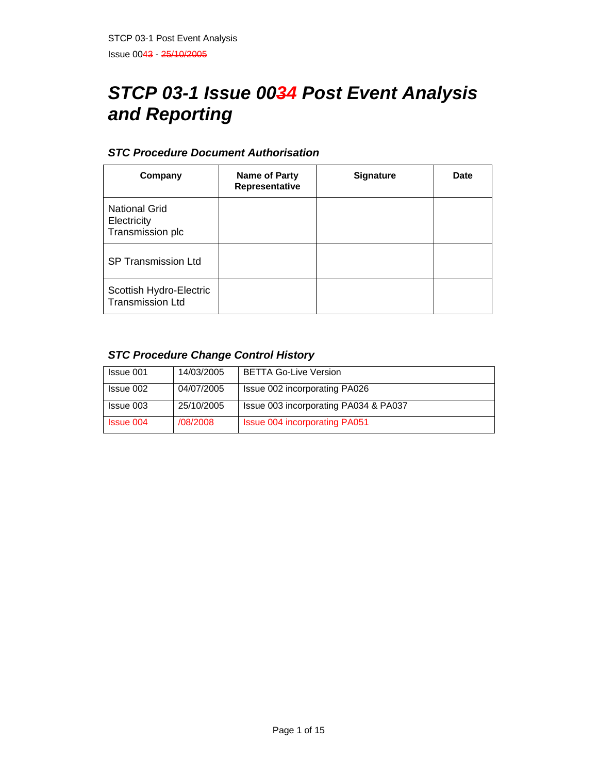# *STCP 03-1 Issue 0034 Post Event Analysis and Reporting*

### *STC Procedure Document Authorisation*

| Company                                                 | Name of Party<br>Representative | <b>Signature</b> | <b>Date</b> |
|---------------------------------------------------------|---------------------------------|------------------|-------------|
| <b>National Grid</b><br>Electricity<br>Transmission plc |                                 |                  |             |
| <b>SP Transmission Ltd</b>                              |                                 |                  |             |
| Scottish Hydro-Electric<br><b>Transmission Ltd</b>      |                                 |                  |             |

### *STC Procedure Change Control History*

| Issue 001        | 14/03/2005 | <b>BETTA Go-Live Version</b>          |
|------------------|------------|---------------------------------------|
| Issue 002        | 04/07/2005 | Issue 002 incorporating PA026         |
| Issue 003        | 25/10/2005 | Issue 003 incorporating PA034 & PA037 |
| <b>Issue 004</b> | /08/2008   | <b>Issue 004 incorporating PA051</b>  |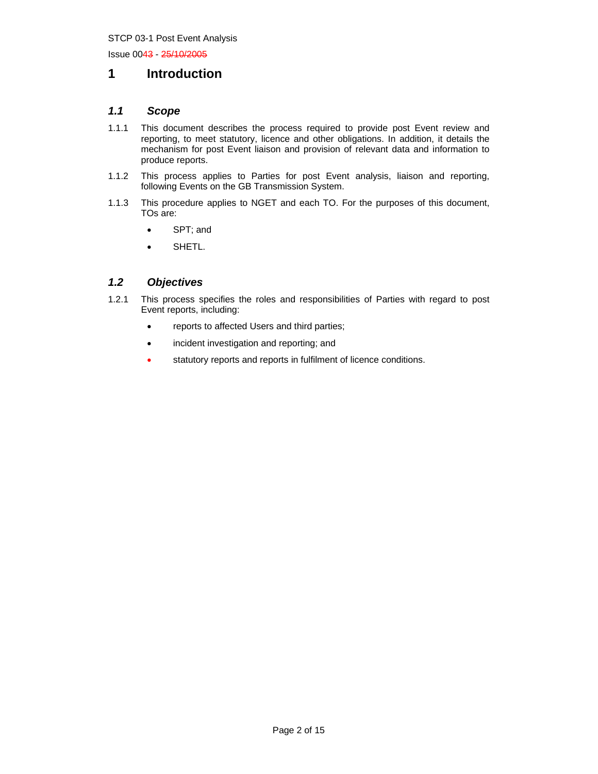Issue 0043 - 25/10/2005

# **1 Introduction**

### *1.1 Scope*

- 1.1.1 This document describes the process required to provide post Event review and reporting, to meet statutory, licence and other obligations. In addition, it details the mechanism for post Event liaison and provision of relevant data and information to produce reports.
- 1.1.2 This process applies to Parties for post Event analysis, liaison and reporting, following Events on the GB Transmission System.
- 1.1.3 This procedure applies to NGET and each TO. For the purposes of this document, TOs are:
	- SPT; and
	- SHETL.

### *1.2 Objectives*

- 1.2.1 This process specifies the roles and responsibilities of Parties with regard to post Event reports, including:
	- reports to affected Users and third parties;
	- incident investigation and reporting; and
	- statutory reports and reports in fulfilment of licence conditions.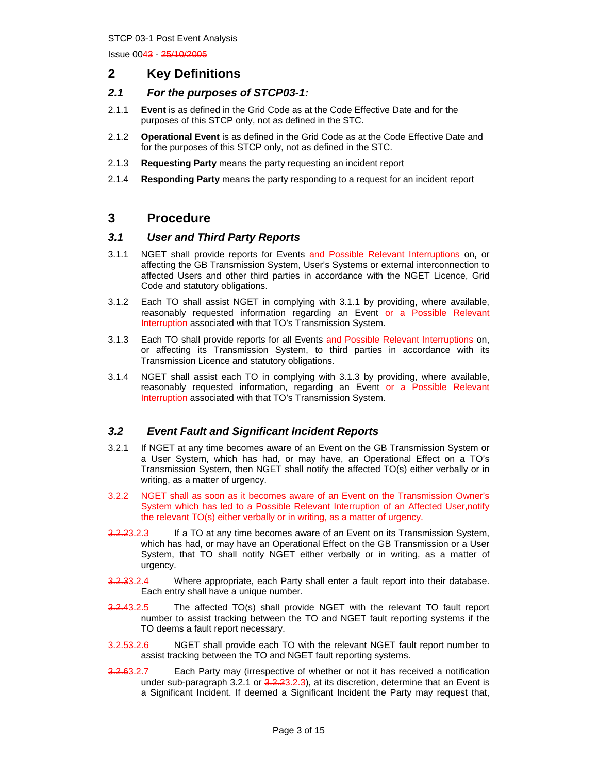Issue 0043 - 25/10/2005

### **2 Key Definitions**

### *2.1 For the purposes of STCP03-1:*

- 2.1.1 **Event** is as defined in the Grid Code as at the Code Effective Date and for the purposes of this STCP only, not as defined in the STC.
- 2.1.2 **Operational Event** is as defined in the Grid Code as at the Code Effective Date and for the purposes of this STCP only, not as defined in the STC.
- 2.1.3 **Requesting Party** means the party requesting an incident report
- 2.1.4 **Responding Party** means the party responding to a request for an incident report

### **3 Procedure**

### *3.1 User and Third Party Reports*

- 3.1.1 NGET shall provide reports for Events and Possible Relevant Interruptions on, or affecting the GB Transmission System, User's Systems or external interconnection to affected Users and other third parties in accordance with the NGET Licence, Grid Code and statutory obligations.
- 3.1.2 Each TO shall assist NGET in complying with 3.1.1 by providing, where available, reasonably requested information regarding an Event or a Possible Relevant Interruption associated with that TO's Transmission System.
- 3.1.3 Each TO shall provide reports for all Events and Possible Relevant Interruptions on, or affecting its Transmission System, to third parties in accordance with its Transmission Licence and statutory obligations.
- 3.1.4 NGET shall assist each TO in complying with 3.1.3 by providing, where available, reasonably requested information, regarding an Event or a Possible Relevant Interruption associated with that TO's Transmission System.

### *3.2 Event Fault and Significant Incident Reports*

- 3.2.1 If NGET at any time becomes aware of an Event on the GB Transmission System or a User System, which has had, or may have, an Operational Effect on a TO's Transmission System, then NGET shall notify the affected TO(s) either verbally or in writing, as a matter of urgency.
- 3.2.2 NGET shall as soon as it becomes aware of an Event on the Transmission Owner's System which has led to a Possible Relevant Interruption of an Affected User,notify the relevant TO(s) either verbally or in writing, as a matter of urgency.
- 3.2.23.2.3 If a TO at any time becomes aware of an Event on its Transmission System, which has had, or may have an Operational Effect on the GB Transmission or a User System, that TO shall notify NGET either verbally or in writing, as a matter of urgency.
- 3.2.33.2.4 Where appropriate, each Party shall enter a fault report into their database. Each entry shall have a unique number.
- 3.2.43.2.5 The affected TO(s) shall provide NGET with the relevant TO fault report number to assist tracking between the TO and NGET fault reporting systems if the TO deems a fault report necessary.
- 3.2.53.2.6 NGET shall provide each TO with the relevant NGET fault report number to assist tracking between the TO and NGET fault reporting systems.
- 3.2.63.2.7 Each Party may (irrespective of whether or not it has received a notification under sub-paragraph 3.2.1 or 3.2.23.2.3), at its discretion, determine that an Event is a Significant Incident. If deemed a Significant Incident the Party may request that,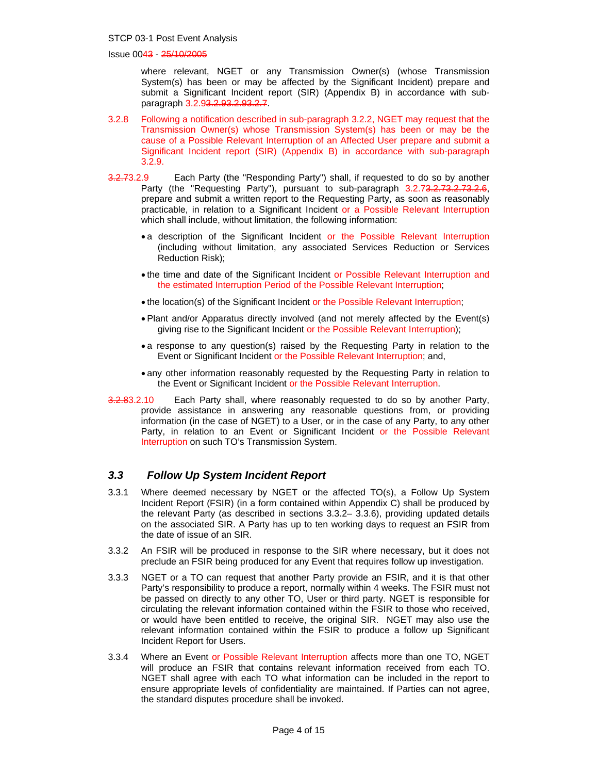Issue 0043 - 25/10/2005

where relevant, NGET or any Transmission Owner(s) (whose Transmission System(s) has been or may be affected by the Significant Incident) prepare and submit a Significant Incident report (SIR) (Appendix B) in accordance with subparagraph 3.2.93.2.93.2.93.2.7.

- 3.2.8 Following a notification described in sub-paragraph 3.2.2, NGET may request that the Transmission Owner(s) whose Transmission System(s) has been or may be the cause of a Possible Relevant Interruption of an Affected User prepare and submit a Significant Incident report (SIR) (Appendix B) in accordance with sub-paragraph 3.2.9.
- 3.2.73.2.9 Each Party (the "Responding Party") shall, if requested to do so by another Party (the "Requesting Party"), pursuant to sub-paragraph 3.2.73.2.73.2.2.73.2.26, prepare and submit a written report to the Requesting Party, as soon as reasonably practicable, in relation to a Significant Incident or a Possible Relevant Interruption which shall include, without limitation, the following information:
	- a description of the Significant Incident or the Possible Relevant Interruption (including without limitation, any associated Services Reduction or Services Reduction Risk);
	- the time and date of the Significant Incident or Possible Relevant Interruption and the estimated Interruption Period of the Possible Relevant Interruption;
	- the location(s) of the Significant Incident or the Possible Relevant Interruption;
	- Plant and/or Apparatus directly involved (and not merely affected by the Event(s) giving rise to the Significant Incident or the Possible Relevant Interruption);
	- a response to any question(s) raised by the Requesting Party in relation to the Event or Significant Incident or the Possible Relevant Interruption; and,
	- any other information reasonably requested by the Requesting Party in relation to the Event or Significant Incident or the Possible Relevant Interruption.
- 3.2.83.2.10 Each Party shall, where reasonably requested to do so by another Party, provide assistance in answering any reasonable questions from, or providing information (in the case of NGET) to a User, or in the case of any Party, to any other Party, in relation to an Event or Significant Incident or the Possible Relevant Interruption on such TO's Transmission System.

#### *3.3 Follow Up System Incident Report*

- 3.3.1 Where deemed necessary by NGET or the affected TO(s), a Follow Up System Incident Report (FSIR) (in a form contained within Appendix C) shall be produced by the relevant Party (as described in sections 3.3.2– 3.3.6), providing updated details on the associated SIR. A Party has up to ten working days to request an FSIR from the date of issue of an SIR.
- 3.3.2 An FSIR will be produced in response to the SIR where necessary, but it does not preclude an FSIR being produced for any Event that requires follow up investigation.
- 3.3.3 NGET or a TO can request that another Party provide an FSIR, and it is that other Party's responsibility to produce a report, normally within 4 weeks. The FSIR must not be passed on directly to any other TO, User or third party. NGET is responsible for circulating the relevant information contained within the FSIR to those who received, or would have been entitled to receive, the original SIR. NGET may also use the relevant information contained within the FSIR to produce a follow up Significant Incident Report for Users.
- 3.3.4 Where an Event or Possible Relevant Interruption affects more than one TO, NGET will produce an FSIR that contains relevant information received from each TO. NGET shall agree with each TO what information can be included in the report to ensure appropriate levels of confidentiality are maintained. If Parties can not agree, the standard disputes procedure shall be invoked.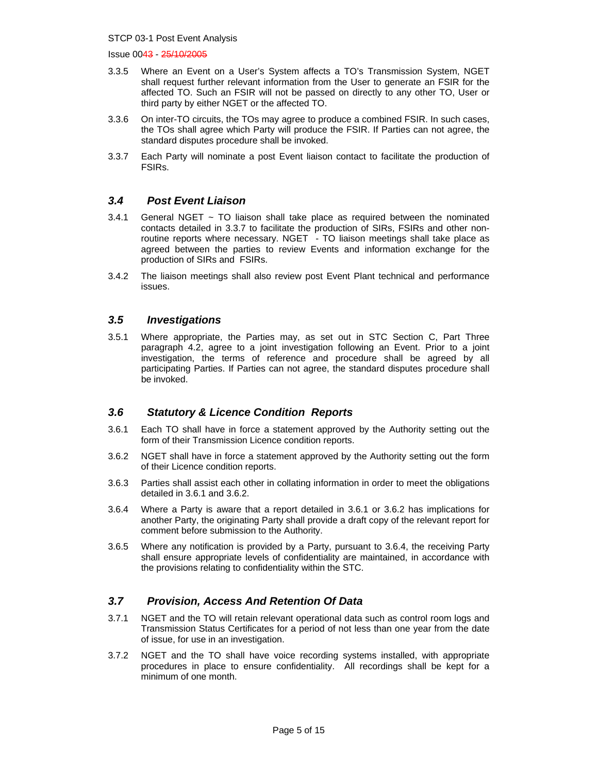Issue 0043 - 25/10/2005

- 3.3.5 Where an Event on a User's System affects a TO's Transmission System, NGET shall request further relevant information from the User to generate an FSIR for the affected TO. Such an FSIR will not be passed on directly to any other TO, User or third party by either NGET or the affected TO.
- 3.3.6 On inter-TO circuits, the TOs may agree to produce a combined FSIR. In such cases, the TOs shall agree which Party will produce the FSIR. If Parties can not agree, the standard disputes procedure shall be invoked.
- 3.3.7 Each Party will nominate a post Event liaison contact to facilitate the production of FSIRs.

### *3.4 Post Event Liaison*

- 3.4.1 General NGET ~ TO liaison shall take place as required between the nominated contacts detailed in 3.3.7 to facilitate the production of SIRs, FSIRs and other nonroutine reports where necessary. NGET - TO liaison meetings shall take place as agreed between the parties to review Events and information exchange for the production of SIRs and FSIRs.
- 3.4.2 The liaison meetings shall also review post Event Plant technical and performance issues.

#### *3.5 Investigations*

3.5.1 Where appropriate, the Parties may, as set out in STC Section C, Part Three paragraph 4.2, agree to a joint investigation following an Event. Prior to a joint investigation, the terms of reference and procedure shall be agreed by all participating Parties. If Parties can not agree, the standard disputes procedure shall be invoked.

#### *3.6 Statutory & Licence Condition Reports*

- 3.6.1 Each TO shall have in force a statement approved by the Authority setting out the form of their Transmission Licence condition reports.
- 3.6.2 NGET shall have in force a statement approved by the Authority setting out the form of their Licence condition reports.
- 3.6.3 Parties shall assist each other in collating information in order to meet the obligations detailed in 3.6.1 and 3.6.2.
- 3.6.4 Where a Party is aware that a report detailed in 3.6.1 or 3.6.2 has implications for another Party, the originating Party shall provide a draft copy of the relevant report for comment before submission to the Authority.
- 3.6.5 Where any notification is provided by a Party, pursuant to 3.6.4, the receiving Party shall ensure appropriate levels of confidentiality are maintained, in accordance with the provisions relating to confidentiality within the STC.

#### *3.7 Provision, Access And Retention Of Data*

- 3.7.1 NGET and the TO will retain relevant operational data such as control room logs and Transmission Status Certificates for a period of not less than one year from the date of issue, for use in an investigation.
- 3.7.2 NGET and the TO shall have voice recording systems installed, with appropriate procedures in place to ensure confidentiality. All recordings shall be kept for a minimum of one month.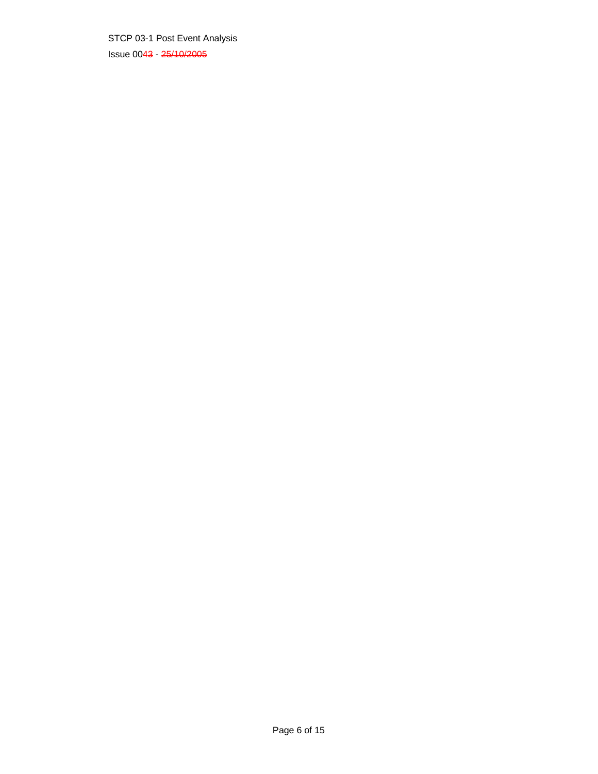STCP 03-1 Post Event Analysis Issue 0043 - 25/10/2005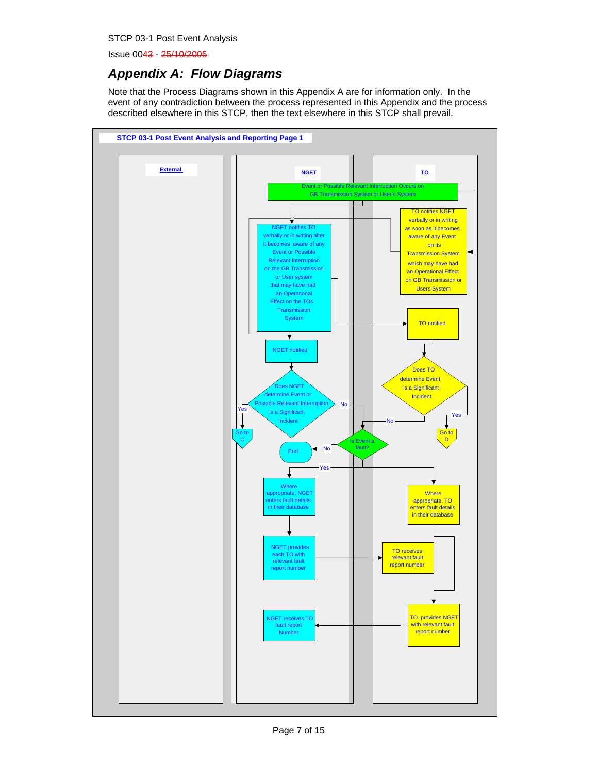Issue 0043 - 25/10/2005

# *Appendix A: Flow Diagrams*

Note that the Process Diagrams shown in this Appendix A are for information only. In the event of any contradiction between the process represented in this Appendix and the process described elsewhere in this STCP, then the text elsewhere in this STCP shall prevail.

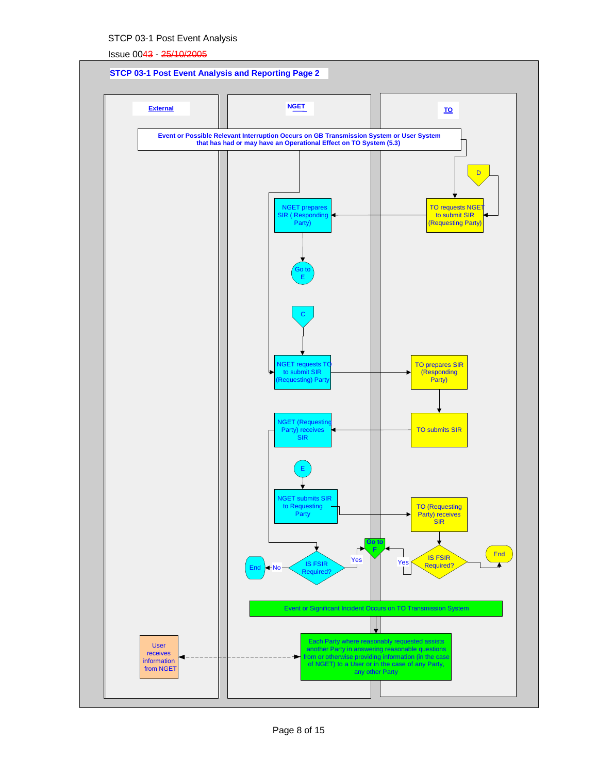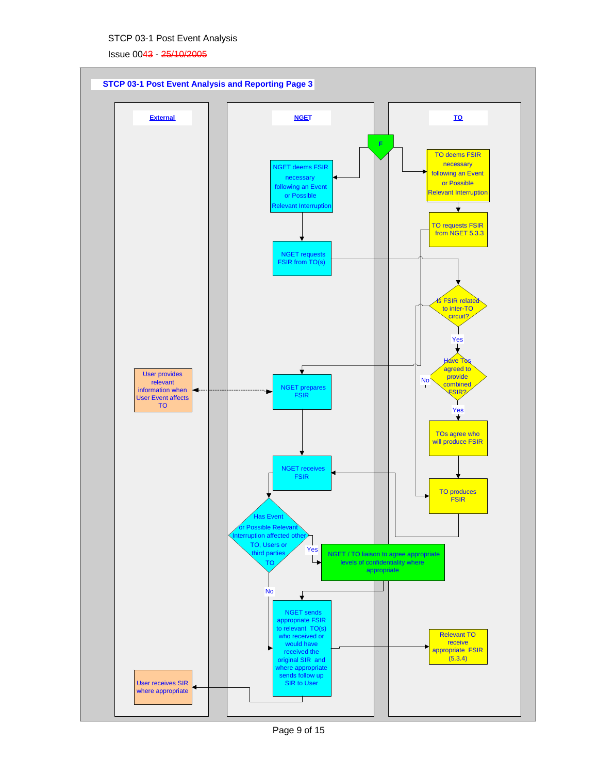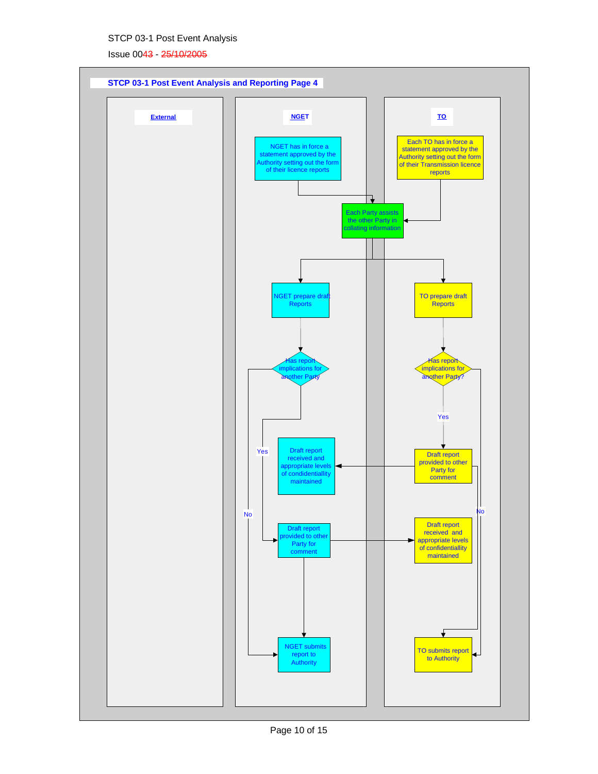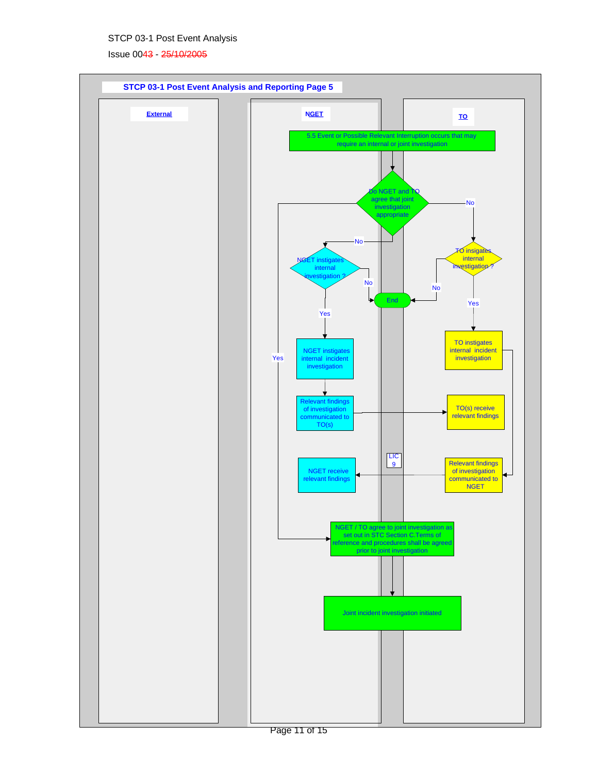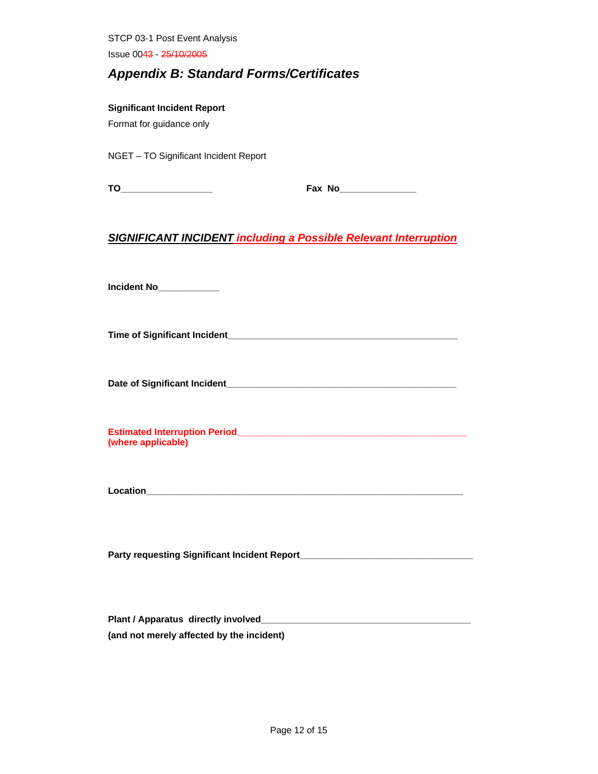Issue 0043 - 25/10/2005

# *Appendix B: Standard Forms/Certificates*

**Significant Incident Report** 

Format for guidance only

NGET – TO Significant Incident Report

| тг | Nc<br>. <b></b><br>. |
|----|----------------------|
|    |                      |

### *SIGNIFICANT INCIDENT including a Possible Relevant Interruption*

**Incident No\_\_\_\_\_\_\_\_\_\_\_\_** 

**Time of Significant Incident\_\_\_\_\_\_\_\_\_\_\_\_\_\_\_\_\_\_\_\_\_\_\_\_\_\_\_\_\_\_\_\_\_\_\_\_\_\_\_\_\_\_\_\_\_** 

**Date of Significant Incident\_\_\_\_\_\_\_\_\_\_\_\_\_\_\_\_\_\_\_\_\_\_\_\_\_\_\_\_\_\_\_\_\_\_\_\_\_\_\_\_\_\_\_\_\_** 

**Estimated Interruption Period\_\_\_\_\_\_\_\_\_\_\_\_\_\_\_\_\_\_\_\_\_\_\_\_\_\_\_\_\_\_\_\_\_\_\_\_\_\_\_\_\_\_\_\_\_ (where applicable)** 

**Location** 

**Party requesting Significant Incident Report\_\_\_\_\_\_\_\_\_\_\_\_\_\_\_\_\_\_\_\_\_\_\_\_\_\_\_\_\_\_\_\_\_\_** 

Plant / Apparatus directly involved **(and not merely affected by the incident)**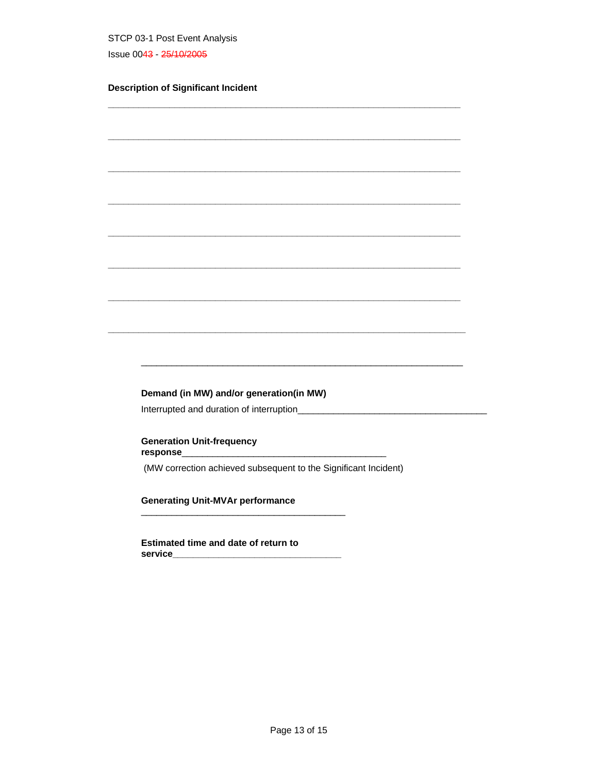Issue 0043 - 25/10/2005

#### **Description of Significant Incident**

Demand (in MW) and/or generation(in MW)

Interrupted and duration of interruption\_

**Generation Unit-frequency** response

(MW correction achieved subsequent to the Significant Incident)

**Generating Unit-MVAr performance** 

Estimated time and date of return to service\_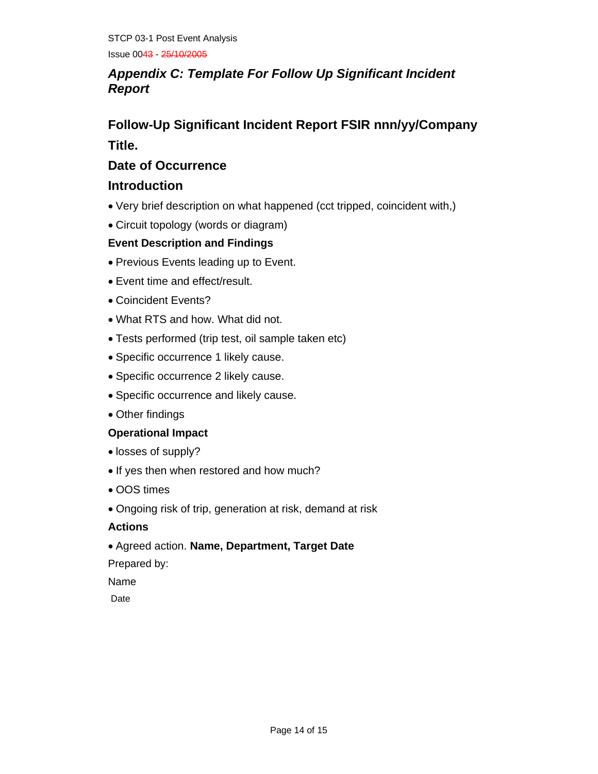Issue 0043 - 25/10/2005

# *Appendix C: Template For Follow Up Significant Incident Report*

# **Follow-Up Significant Incident Report FSIR nnn/yy/Company Title.**

# **Date of Occurrence**

## **Introduction**

- Very brief description on what happened (cct tripped, coincident with,)
- Circuit topology (words or diagram)

### **Event Description and Findings**

- Previous Events leading up to Event.
- Event time and effect/result.
- Coincident Events?
- What RTS and how. What did not.
- Tests performed (trip test, oil sample taken etc)
- Specific occurrence 1 likely cause.
- Specific occurrence 2 likely cause.
- Specific occurrence and likely cause.
- Other findings

### **Operational Impact**

- losses of supply?
- If yes then when restored and how much?
- OOS times
- Ongoing risk of trip, generation at risk, demand at risk

### **Actions**

• Agreed action. **Name, Department, Target Date** 

Prepared by:

Name

Date